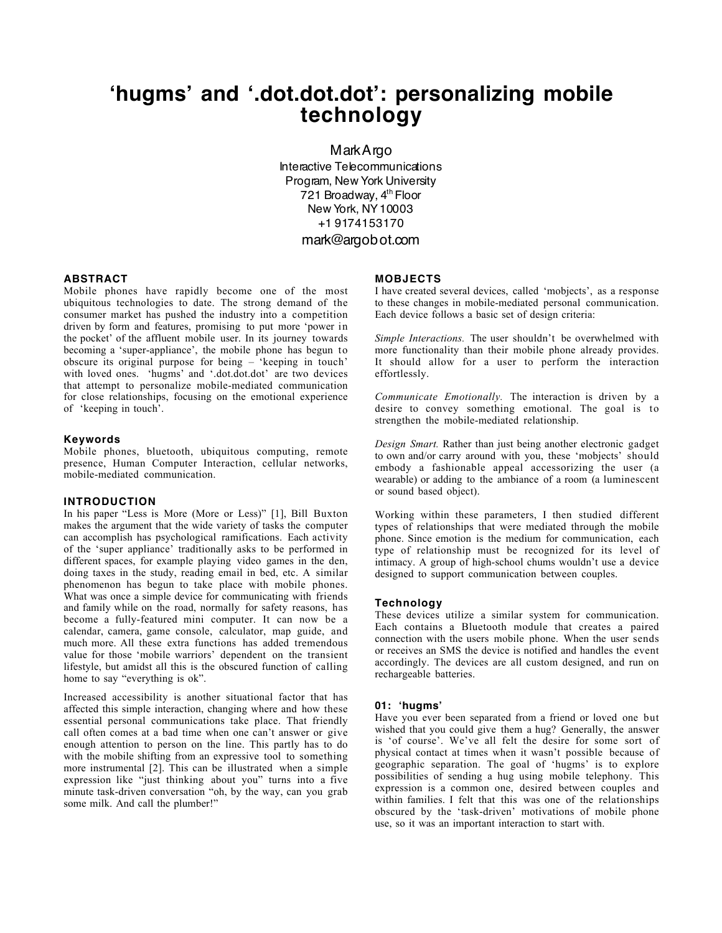# **'hugms' and '.dot.dot.dot': personalizing mobile technology**

MarkArgo Interactive Telecommunications Program, New York University 721 Broadway, 4<sup>th</sup> Floor New York, NY10003 +1 9174153170

# mark@argobot.com

## **ABSTRACT**

Mobile phones have rapidly become one of the most ubiquitous technologies to date. The strong demand of the consumer market has pushed the industry into a competition driven by form and features, promising to put more 'power in the pocket' of the affluent mobile user. In its journey towards becoming a 'super-appliance', the mobile phone has begun to obscure its original purpose for being – 'keeping in touch' with loved ones. 'hugms' and '.dot.dot.dot' are two devices that attempt to personalize mobile-mediated communication for close relationships, focusing on the emotional experience of 'keeping in touch'.

### **Keywords**

Mobile phones, bluetooth, ubiquitous computing, remote presence, Human Computer Interaction, cellular networks, mobile-mediated communication.

#### **INTRODUCTION**

In his paper "Less is More (More or Less)" [1], Bill Buxton makes the argument that the wide variety of tasks the computer can accomplish has psychological ramifications. Each activity of the 'super appliance' traditionally asks to be performed in different spaces, for example playing video games in the den, doing taxes in the study, reading email in bed, etc. A similar phenomenon has begun to take place with mobile phones. What was once a simple device for communicating with friends and family while on the road, normally for safety reasons, has become a fully-featured mini computer. It can now be a calendar, camera, game console, calculator, map guide, and much more. All these extra functions has added tremendous value for those 'mobile warriors' dependent on the transient lifestyle, but amidst all this is the obscured function of calling home to say "everything is ok".

Increased accessibility is another situational factor that has affected this simple interaction, changing where and how these essential personal communications take place. That friendly call often comes at a bad time when one can't answer or give enough attention to person on the line. This partly has to do with the mobile shifting from an expressive tool to something more instrumental [2]. This can be illustrated when a simple expression like "just thinking about you" turns into a five minute task-driven conversation "oh, by the way, can you grab some milk. And call the plumber!"

#### **MOBJECTS**

I have created several devices, called 'mobjects', as a response to these changes in mobile-mediated personal communication. Each device follows a basic set of design criteria:

*Simple Interactions.* The user shouldn't be overwhelmed with more functionality than their mobile phone already provides. It should allow for a user to perform the interaction effortlessly.

*Communicate Emotionally.* The interaction is driven by a desire to convey something emotional. The goal is to strengthen the mobile-mediated relationship.

*Design Smart.* Rather than just being another electronic gadget to own and/or carry around with you, these 'mobjects' should embody a fashionable appeal accessorizing the user (a wearable) or adding to the ambiance of a room (a luminescent or sound based object).

Working within these parameters, I then studied different types of relationships that were mediated through the mobile phone. Since emotion is the medium for communication, each type of relationship must be recognized for its level of intimacy. A group of high-school chums wouldn't use a device designed to support communication between couples.

### **Technology**

These devices utilize a similar system for communication. Each contains a Bluetooth module that creates a paired connection with the users mobile phone. When the user sends or receives an SMS the device is notified and handles the event accordingly. The devices are all custom designed, and run on rechargeable batteries.

#### **01: 'hugms'**

Have you ever been separated from a friend or loved one but wished that you could give them a hug? Generally, the answer is 'of course'. We've all felt the desire for some sort of physical contact at times when it wasn't possible because of geographic separation. The goal of 'hugms' is to explore possibilities of sending a hug using mobile telephony. This expression is a common one, desired between couples and within families. I felt that this was one of the relationships obscured by the 'task-driven' motivations of mobile phone use, so it was an important interaction to start with.